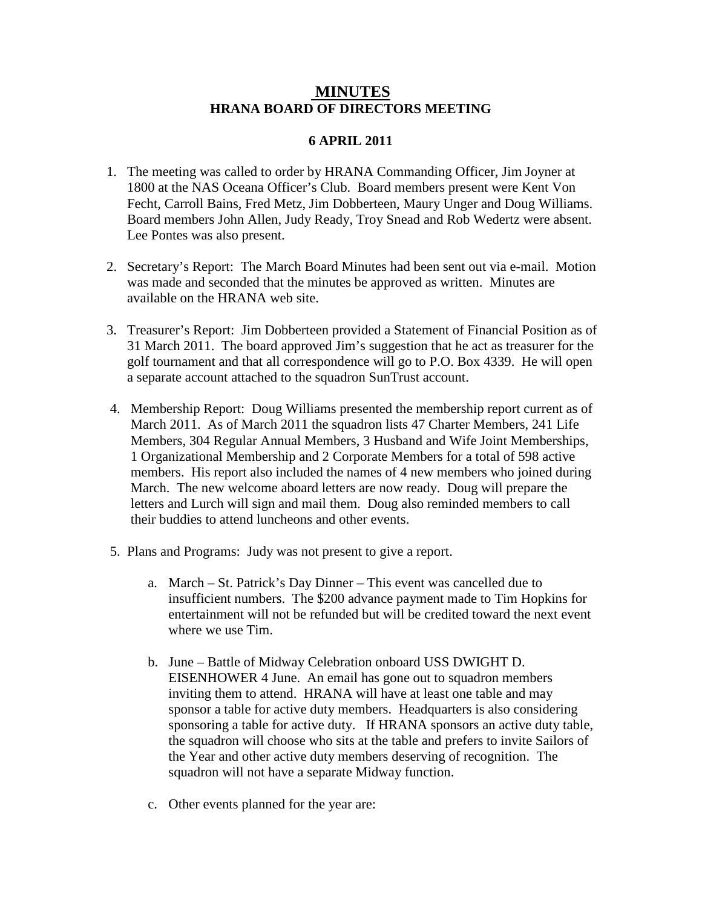## **MINUTES HRANA BOARD OF DIRECTORS MEETING**

## **6 APRIL 2011**

- 1. The meeting was called to order by HRANA Commanding Officer, Jim Joyner at 1800 at the NAS Oceana Officer's Club. Board members present were Kent Von Fecht, Carroll Bains, Fred Metz, Jim Dobberteen, Maury Unger and Doug Williams. Board members John Allen, Judy Ready, Troy Snead and Rob Wedertz were absent. Lee Pontes was also present.
- 2. Secretary's Report: The March Board Minutes had been sent out via e-mail. Motion was made and seconded that the minutes be approved as written. Minutes are available on the HRANA web site.
- 3. Treasurer's Report: Jim Dobberteen provided a Statement of Financial Position as of 31 March 2011. The board approved Jim's suggestion that he act as treasurer for the golf tournament and that all correspondence will go to P.O. Box 4339. He will open a separate account attached to the squadron SunTrust account.
- 4. Membership Report: Doug Williams presented the membership report current as of March 2011. As of March 2011 the squadron lists 47 Charter Members, 241 Life Members, 304 Regular Annual Members, 3 Husband and Wife Joint Memberships, 1 Organizational Membership and 2 Corporate Members for a total of 598 active members. His report also included the names of 4 new members who joined during March. The new welcome aboard letters are now ready. Doug will prepare the letters and Lurch will sign and mail them. Doug also reminded members to call their buddies to attend luncheons and other events.
- 5. Plans and Programs: Judy was not present to give a report.
	- a. March St. Patrick's Day Dinner This event was cancelled due to insufficient numbers. The \$200 advance payment made to Tim Hopkins for entertainment will not be refunded but will be credited toward the next event where we use Tim.
	- b. June Battle of Midway Celebration onboard USS DWIGHT D. EISENHOWER 4 June. An email has gone out to squadron members inviting them to attend. HRANA will have at least one table and may sponsor a table for active duty members. Headquarters is also considering sponsoring a table for active duty. If HRANA sponsors an active duty table, the squadron will choose who sits at the table and prefers to invite Sailors of the Year and other active duty members deserving of recognition. The squadron will not have a separate Midway function.
	- c. Other events planned for the year are: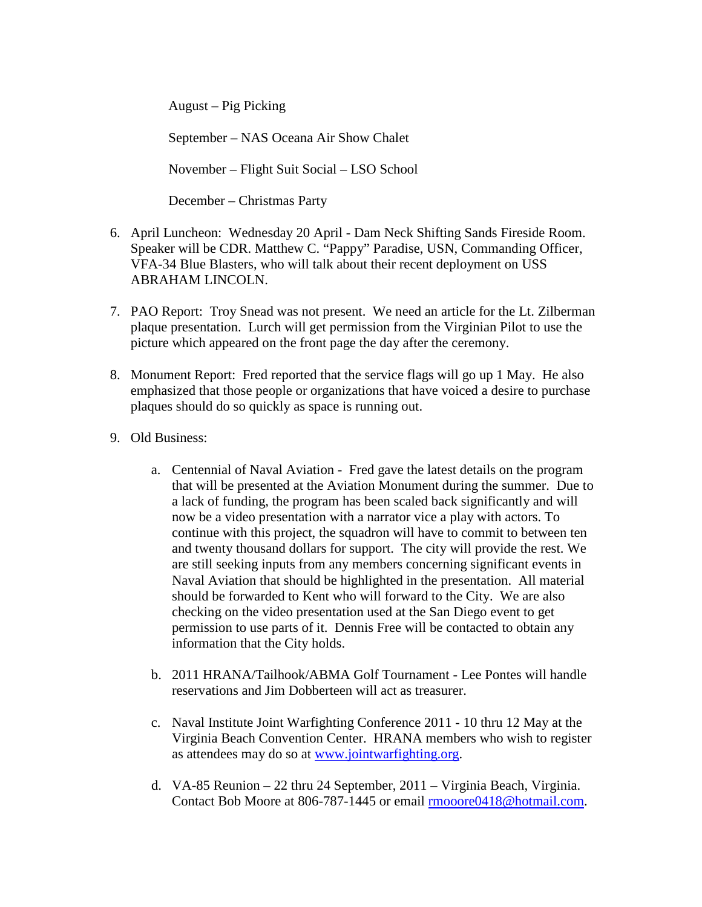August – Pig Picking

September – NAS Oceana Air Show Chalet

November – Flight Suit Social – LSO School

December – Christmas Party

- 6. April Luncheon: Wednesday 20 April Dam Neck Shifting Sands Fireside Room. Speaker will be CDR. Matthew C. "Pappy" Paradise, USN, Commanding Officer, VFA-34 Blue Blasters, who will talk about their recent deployment on USS ABRAHAM LINCOLN.
- 7. PAO Report: Troy Snead was not present. We need an article for the Lt. Zilberman plaque presentation. Lurch will get permission from the Virginian Pilot to use the picture which appeared on the front page the day after the ceremony.
- 8. Monument Report: Fred reported that the service flags will go up 1 May. He also emphasized that those people or organizations that have voiced a desire to purchase plaques should do so quickly as space is running out.
- 9. Old Business:
	- a. Centennial of Naval Aviation Fred gave the latest details on the program that will be presented at the Aviation Monument during the summer. Due to a lack of funding, the program has been scaled back significantly and will now be a video presentation with a narrator vice a play with actors. To continue with this project, the squadron will have to commit to between ten and twenty thousand dollars for support. The city will provide the rest. We are still seeking inputs from any members concerning significant events in Naval Aviation that should be highlighted in the presentation. All material should be forwarded to Kent who will forward to the City. We are also checking on the video presentation used at the San Diego event to get permission to use parts of it. Dennis Free will be contacted to obtain any information that the City holds.
	- b. 2011 HRANA/Tailhook/ABMA Golf Tournament Lee Pontes will handle reservations and Jim Dobberteen will act as treasurer.
	- c. Naval Institute Joint Warfighting Conference 2011 10 thru 12 May at the Virginia Beach Convention Center. HRANA members who wish to register as attendees may do so at [www.jointwarfighting.org.](http://www.jointwarfighting.org/)
	- d. VA-85 Reunion 22 thru 24 September, 2011 Virginia Beach, Virginia. Contact Bob Moore at 806-787-1445 or email [rmooore0418@hotmail.com.](mailto:rmooore0418@hotmail.com)